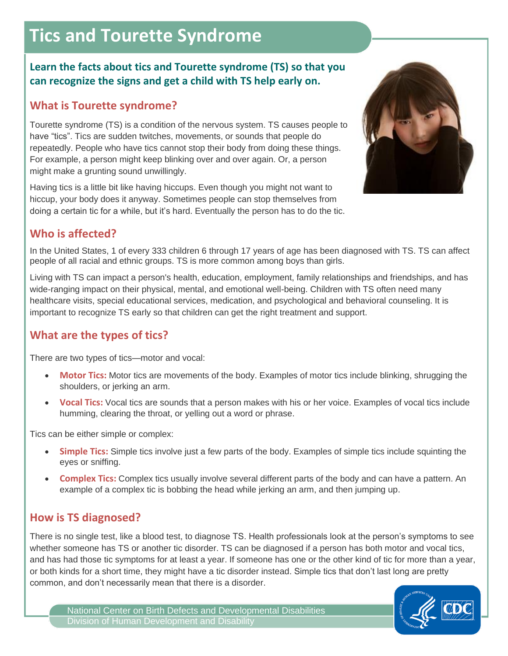# **Tics and Tourette Syndrome**

### **Learn the facts about tics and Tourette syndrome (TS) so that you can recognize the signs and get a child with TS help early on.**

# **What is Tourette syndrome?**

Tourette syndrome (TS) is a condition of the nervous system. TS causes people to have "tics". Tics are sudden twitches, movements, or sounds that people do repeatedly. People who have tics cannot stop their body from doing these things. For example, a person might keep blinking over and over again. Or, a person might make a grunting sound unwillingly.

Having tics is a little bit like having hiccups. Even though you might not want to hiccup, your body does it anyway. Sometimes people can stop themselves from doing a certain tic for a while, but it's hard. Eventually the person has to do the tic.



# **Who is affected?**

In the United States, 1 of every 333 children 6 through 17 years of age has been diagnosed with TS. TS can affect people of all racial and ethnic groups. TS is more common among boys than girls.

Living with TS can impact a person's health, education, employment, family relationships and friendships, and has wide-ranging impact on their physical, mental, and emotional well-being. Children with TS often need many healthcare visits, special educational services, medication, and psychological and behavioral counseling. It is important to recognize TS early so that children can get the right treatment and support.

### **What are the types of tics?**

There are two types of tics—motor and vocal:

- **Motor Tics:** Motor tics are movements of the body. Examples of motor tics include blinking, shrugging the shoulders, or jerking an arm.
- **Vocal Tics:** Vocal tics are sounds that a person makes with his or her voice. Examples of vocal tics include humming, clearing the throat, or yelling out a word or phrase.

Tics can be either simple or complex:

- **Simple Tics:** Simple tics involve just a few parts of the body. Examples of simple tics include squinting the eyes or sniffing.
- **Complex Tics:** Complex tics usually involve several different parts of the body and can have a pattern. An example of a complex tic is bobbing the head while jerking an arm, and then jumping up.

# **How is TS diagnosed?**

There is no single test, like a blood test, to diagnose TS. Health professionals look at the person's symptoms to see whether someone has TS or another tic disorder. TS can be diagnosed if a person has both motor and vocal tics, and has had those tic symptoms for at least a year. If someone has one or the other kind of tic for more than a year, or both kinds for a short time, they might have a tic disorder instead. Simple tics that don't last long are pretty common, and don't necessarily mean that there is a disorder.